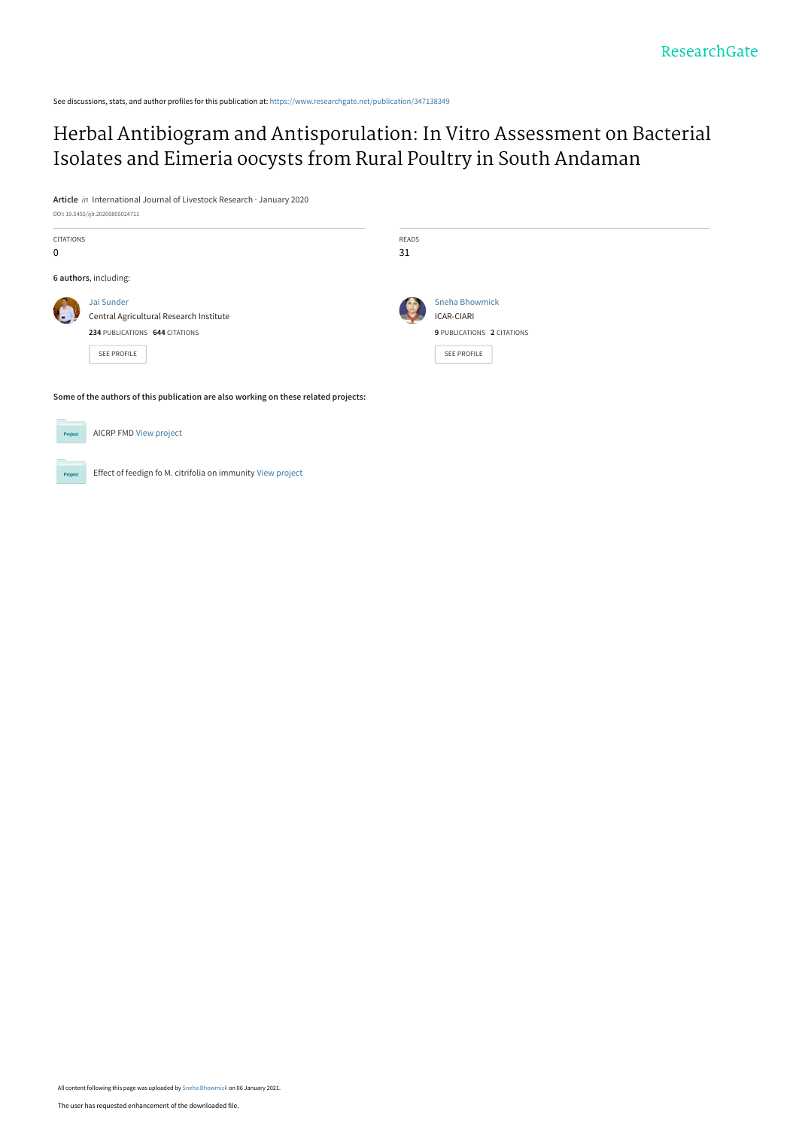See discussions, stats, and author profiles for this publication at: [https://www.researchgate.net/publication/347138349](https://www.researchgate.net/publication/347138349_Herbal_Antibiogram_and_Antisporulation_In_Vitro_Assessment_on_Bacterial_Isolates_and_Eimeria_oocysts_from_Rural_Poultry_in_South_Andaman?enrichId=rgreq-9df46e45cb5db29aa0e168ba3a070efa-XXX&enrichSource=Y292ZXJQYWdlOzM0NzEzODM0OTtBUzo5NzcwMDY2NDQ3MTU1MjBAMTYwOTk0Nzk0NDA3NA%3D%3D&el=1_x_2&_esc=publicationCoverPdf)

## [Herbal Antibiogram and Antisporulation: In Vitro Assessment on Bacterial](https://www.researchgate.net/publication/347138349_Herbal_Antibiogram_and_Antisporulation_In_Vitro_Assessment_on_Bacterial_Isolates_and_Eimeria_oocysts_from_Rural_Poultry_in_South_Andaman?enrichId=rgreq-9df46e45cb5db29aa0e168ba3a070efa-XXX&enrichSource=Y292ZXJQYWdlOzM0NzEzODM0OTtBUzo5NzcwMDY2NDQ3MTU1MjBAMTYwOTk0Nzk0NDA3NA%3D%3D&el=1_x_3&_esc=publicationCoverPdf) Isolates and Eimeria oocysts from Rural Poultry in South Andaman

**Article** in International Journal of Livestock Research · January 2020

DOI: 10.5455/ijlr.20200805024711

| <b>CITATIONS</b>      |                                                       | READS |                                     |
|-----------------------|-------------------------------------------------------|-------|-------------------------------------|
| 0                     |                                                       | 31    |                                     |
| 6 authors, including: |                                                       |       |                                     |
|                       | Jai Sunder<br>Central Agricultural Research Institute |       | <b>Sneha Bhowmick</b><br>ICAR-CIARI |
|                       | 234 PUBLICATIONS 644 CITATIONS                        |       | 9 PUBLICATIONS 2 CITATIONS          |
|                       | SEE PROFILE                                           |       | <b>SEE PROFILE</b>                  |
|                       |                                                       |       |                                     |
|                       |                                                       |       |                                     |

**Some of the authors of this publication are also working on these related projects:**

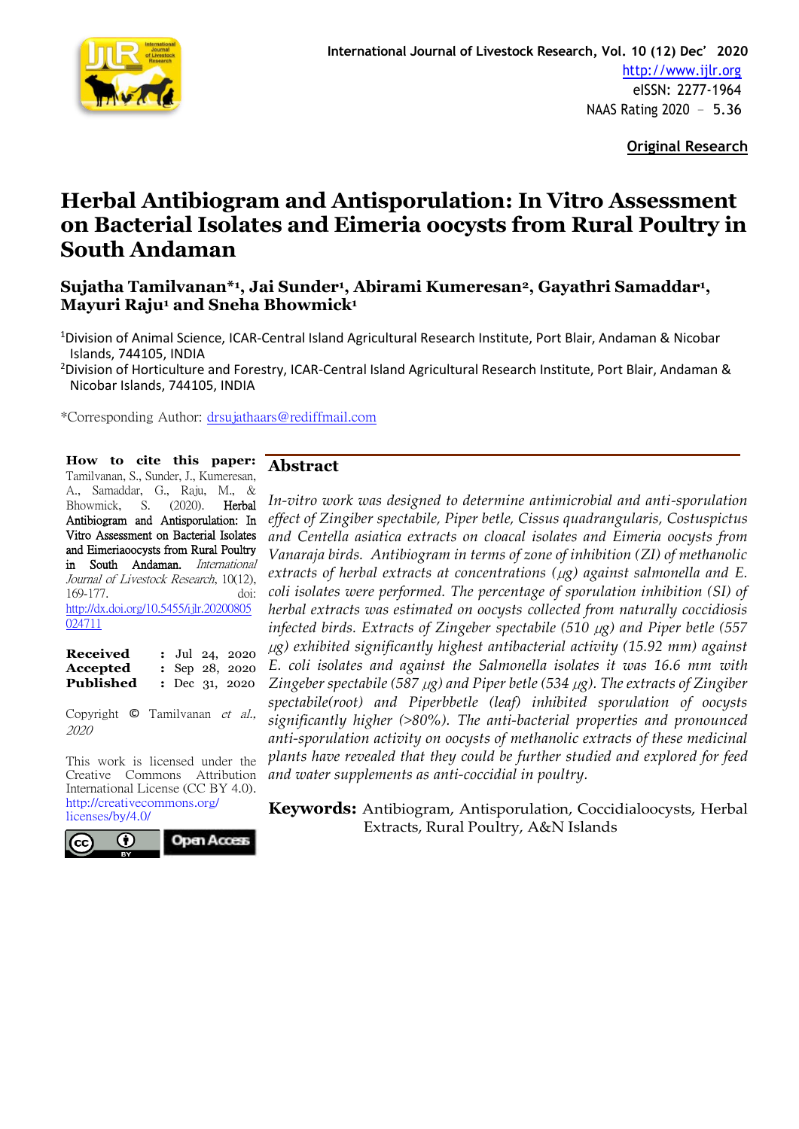

**Original Research**

# **Herbal Antibiogram and Antisporulation: In Vitro Assessment on Bacterial Isolates and Eimeria oocysts from Rural Poultry in South Andaman**

#### **Sujatha Tamilvanan\*<sup>1</sup> , Jai Sunder<sup>1</sup> , Abirami Kumeresan2, Gayathri Samaddar<sup>1</sup> , Mayuri Raju<sup>1</sup> and Sneha Bhowmick<sup>1</sup>**

<sup>1</sup>Division of Animal Science, ICAR-Central Island Agricultural Research Institute, Port Blair, Andaman & Nicobar Islands, 744105, INDIA

<sup>2</sup>Division of Horticulture and Forestry, ICAR-Central Island Agricultural Research Institute, Port Blair, Andaman & Nicobar Islands, 744105, INDIA

\*Corresponding Author: [drsujathaars@rediffmail.com](mailto:drsujathaars@rediffmail.com) 

**How to cite this paper:** Tamilvanan, S., Sunder, J., Kumeresan, A., Samaddar, G., Raju, M., &<br>Bhowmick, S. (2020). **Herbal** Bhowmick, S. (2020). Herbal Antibiogram and Antisporulation: In Vitro Assessment on Bacterial Isolates and Eimeriaoocysts from Rural Poultry in South Andaman. International Journal of Livestock Research, 10(12), 169-177. doi: [http://dx.doi.org/10.5455/ijlr.20200805](http://dx.doi.org/10.5455/ijlr.20200805024711) [024711](http://dx.doi.org/10.5455/ijlr.20200805024711)

| <b>Received</b> |  | $:$ Jul 24, 2020          |
|-----------------|--|---------------------------|
| Accepted        |  | : Sep 28, 2020            |
| Published       |  | $\therefore$ Dec 31, 2020 |

Copyright © Tamilvanan et al., 2020

This work is licensed under the Creative Commons Attribution International License (CC BY 4.0). [http://creativecommons.org/](http://creativecommons.org/licenses/by/4.0/) [licenses/by/4.0/](http://creativecommons.org/licenses/by/4.0/) 



#### **Abstract**

*In-vitro work was designed to determine antimicrobial and anti-sporulation effect of Zingiber spectabile, Piper betle, Cissus quadrangularis, Costuspictus and Centella asiatica extracts on cloacal isolates and Eimeria oocysts from Vanaraja birds. Antibiogram in terms of zone of inhibition (ZI) of methanolic extracts of herbal extracts at concentrations (*µ*g) against salmonella and E. coli isolates were performed. The percentage of sporulation inhibition (SI) of herbal extracts was estimated on oocysts collected from naturally coccidiosis infected birds. Extracts of Zingeber spectabile (510* µ*g) and Piper betle (557*  <sup>µ</sup>*g) exhibited significantly highest antibacterial activity (15.92 mm) against E. coli isolates and against the Salmonella isolates it was 16.6 mm with Zingeber spectabile (587* µ*g) and Piper betle (534* µ*g). The extracts of Zingiber spectabile(root) and Piperbbetle (leaf) inhibited sporulation of oocysts significantly higher (>80%). The anti-bacterial properties and pronounced anti-sporulation activity on oocysts of methanolic extracts of these medicinal plants have revealed that they could be further studied and explored for feed and water supplements as anti-coccidial in poultry.*

**Keywords:** Antibiogram, Antisporulation, Coccidialoocysts, Herbal Extracts, Rural Poultry, A&N Islands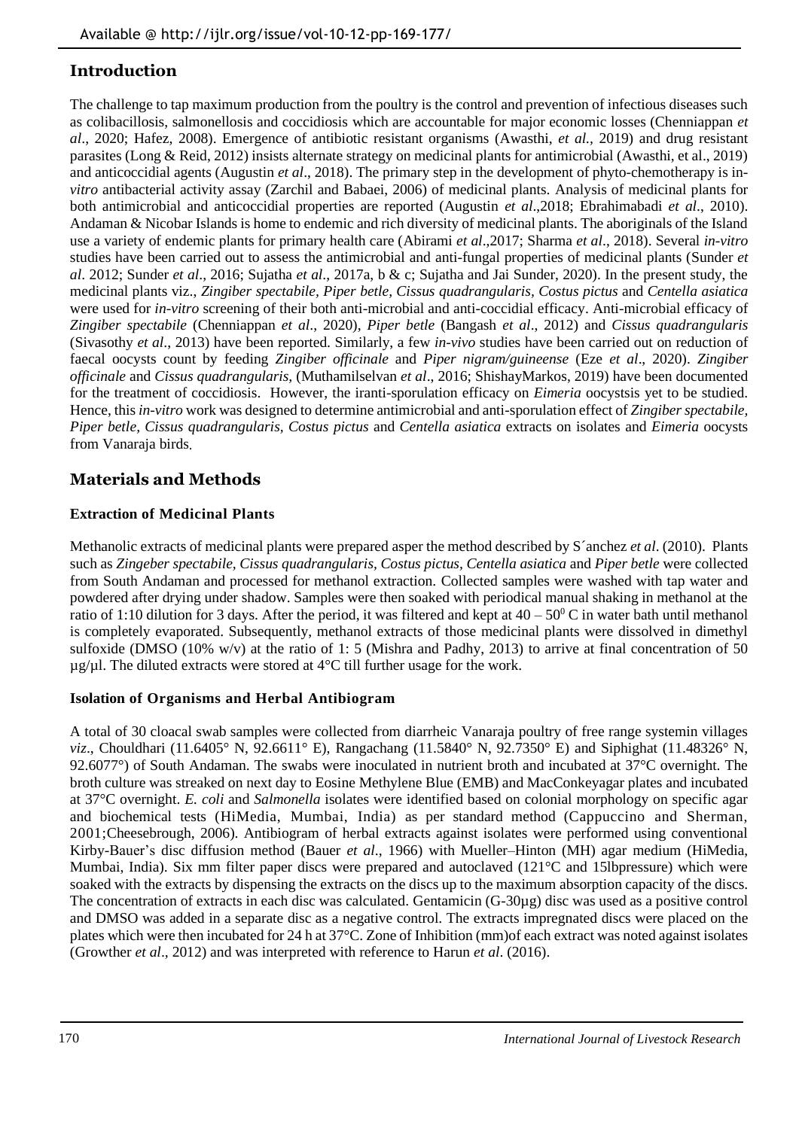## **Introduction**

The challenge to tap maximum production from the poultry is the control and prevention of infectious diseases such as colibacillosis, salmonellosis and coccidiosis which are accountable for major economic losses (Chenniappan *et al*., 2020; Hafez, 2008). Emergence of antibiotic resistant organisms (Awasthi, *et al.,* 2019) and drug resistant parasites (Long & Reid, 2012) insists alternate strategy on medicinal plants for antimicrobial (Awasthi, et al., 2019) and anticoccidial agents (Augustin *et al*., 2018). The primary step in the development of phyto-chemotherapy is in*vitro* antibacterial activity assay (Zarchil and Babaei, 2006) of medicinal plants. Analysis of medicinal plants for both antimicrobial and anticoccidial properties are reported (Augustin *et al*.,2018; Ebrahimabadi *et al*., 2010). Andaman & Nicobar Islands is home to endemic and rich diversity of medicinal plants. The aboriginals of the Island use a variety of endemic plants for primary health care (Abirami *et al*.,2017; Sharma *et al*., 2018). Several *in-vitro* studies have been carried out to assess the antimicrobial and anti-fungal properties of medicinal plants (Sunder *et al*. 2012; Sunder *et al*., 2016; Sujatha *et al*., 2017a, b & c; Sujatha and Jai Sunder, 2020). In the present study, the medicinal plants viz., *Zingiber spectabile, Piper betle, Cissus quadrangularis, Costus pictus* and *Centella asiatica* were used for *in-vitro* screening of their both anti-microbial and anti-coccidial efficacy. Anti-microbial efficacy of *Zingiber spectabile* (Chenniappan *et al*., 2020), *Piper betle* (Bangash *et al*., 2012) and *Cissus quadrangularis* (Sivasothy *et al*., 2013) have been reported. Similarly, a few *in-vivo* studies have been carried out on reduction of faecal oocysts count by feeding *Zingiber officinale* and *Piper nigram/guineense* (Eze *et al*., 2020). *Zingiber officinale* and *Cissus quadrangularis,* (Muthamilselvan *et al*., 2016; ShishayMarkos, 2019) have been documented for the treatment of coccidiosis. However, the iranti-sporulation efficacy on *Eimeria* oocystsis yet to be studied. Hence, this *in-vitro* work was designed to determine antimicrobial and anti-sporulation effect of *Zingiber spectabile, Piper betle, Cissus quadrangularis, Costus pictus* and *Centella asiatica* extracts on isolates and *Eimeria* oocysts from Vanaraja birds.

## **Materials and Methods**

#### **Extraction of Medicinal Plants**

Methanolic extracts of medicinal plants were prepared asper the method described by S´anchez *et al*. (2010). Plants such as *Zingeber spectabile, Cissus quadrangularis, Costus pictus, Centella asiatica* and *Piper betle* were collected from South Andaman and processed for methanol extraction. Collected samples were washed with tap water and powdered after drying under shadow. Samples were then soaked with periodical manual shaking in methanol at the ratio of 1:10 dilution for 3 days. After the period, it was filtered and kept at  $40-50^{\circ}$ C in water bath until methanol is completely evaporated. Subsequently, methanol extracts of those medicinal plants were dissolved in dimethyl sulfoxide (DMSO (10% w/v) at the ratio of 1: 5 (Mishra and Padhy, 2013) to arrive at final concentration of 50  $\mu$ g/ $\mu$ l. The diluted extracts were stored at 4°C till further usage for the work.

#### **Isolation of Organisms and Herbal Antibiogram**

A total of 30 cloacal swab samples were collected from diarrheic Vanaraja poultry of free range systemin villages *viz*., Chouldhari (11.6405° N, 92.6611° E), Rangachang (11.5840° N, 92.7350° E) and Siphighat (11.48326° N, 92.6077°) of South Andaman. The swabs were inoculated in nutrient broth and incubated at 37°C overnight. The broth culture was streaked on next day to Eosine Methylene Blue (EMB) and MacConkeyagar plates and incubated at 37°C overnight. *E. coli* and *Salmonella* isolates were identified based on colonial morphology on specific agar and biochemical tests (HiMedia, Mumbai, India) as per standard method [\(Cappuccino and Sherman,](https://scialert.net/fulltextmobile/?doi=mj.2015.28.35#133217_b)  [2001;](https://scialert.net/fulltextmobile/?doi=mj.2015.28.35#133217_b)Cheesebrough, 2006). Antibiogram of herbal extracts against isolates were performed using conventional Kirby-Bauer's disc diffusion method (Bauer *et al*., 1966) with Mueller–Hinton (MH) agar medium (HiMedia, Mumbai, India). Six mm filter paper discs were prepared and autoclaved (121°C and 15lbpressure) which were soaked with the extracts by dispensing the extracts on the discs up to the maximum absorption capacity of the discs. The concentration of extracts in each disc was calculated. Gentamicin (G-30µg) disc was used as a positive control and DMSO was added in a separate disc as a negative control. The extracts impregnated discs were placed on the plates which were then incubated for 24 h at 37°C. Zone of Inhibition (mm)of each extract was noted against isolates (Growther *et al*., 2012) and was interpreted with reference to Harun *et al*. (2016).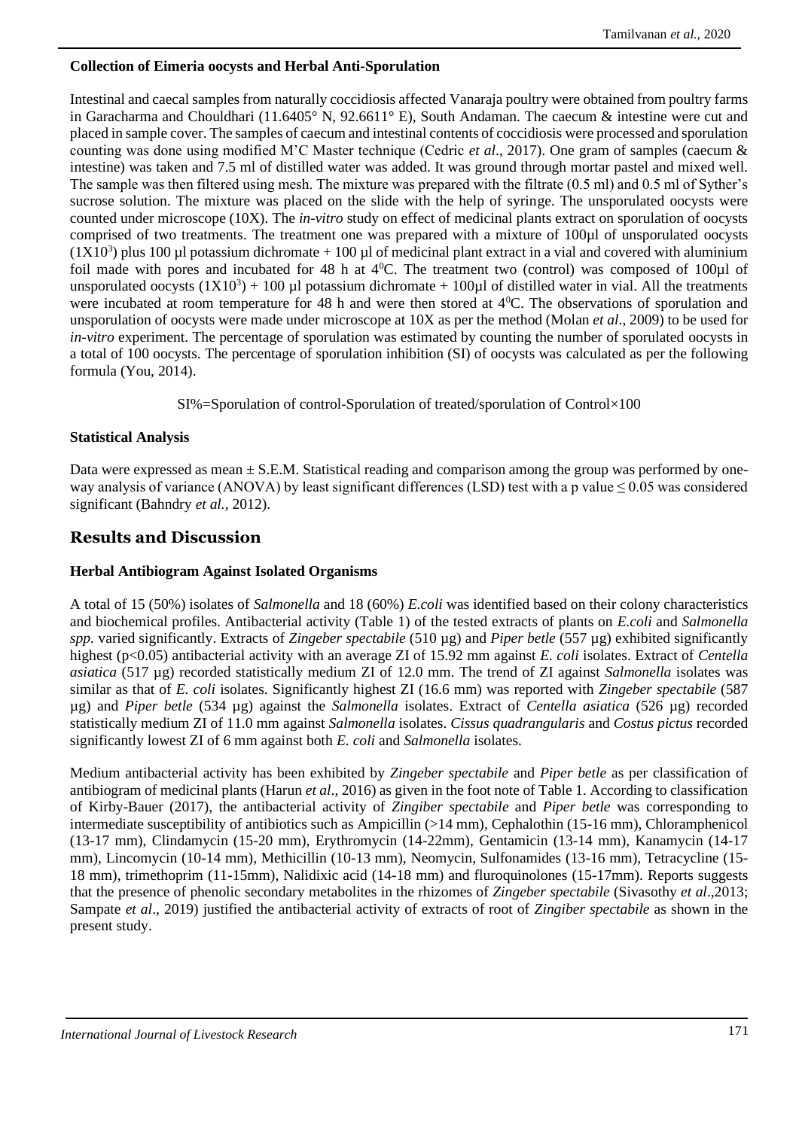#### **Collection of Eimeria oocysts and Herbal Anti-Sporulation**

Intestinal and caecal samples from naturally coccidiosis affected Vanaraja poultry were obtained from poultry farms in Garacharma and Chouldhari (11.6405° N, 92.6611° E), South Andaman. The caecum & intestine were cut and placed in sample cover. The samples of caecum and intestinal contents of coccidiosis were processed and sporulation counting was done using modified M'C Master technique (Cedric *et al*., 2017). One gram of samples (caecum & intestine) was taken and 7.5 ml of distilled water was added. It was ground through mortar pastel and mixed well. The sample was then filtered using mesh. The mixture was prepared with the filtrate (0.5 ml) and 0.5 ml of Syther's sucrose solution. The mixture was placed on the slide with the help of syringe. The unsporulated oocysts were counted under microscope (10X). The *in-vitro* study on effect of medicinal plants extract on sporulation of oocysts comprised of two treatments. The treatment one was prepared with a mixture of 100µl of unsporulated oocysts  $(1X10<sup>3</sup>)$  plus 100 µl potassium dichromate + 100 µl of medicinal plant extract in a vial and covered with aluminium foil made with pores and incubated for 48 h at  $4^{\circ}$ C. The treatment two (control) was composed of 100 $\mu$ l of unsporulated oocysts  $(1X10^3) + 100 \mu l$  potassium dichromate  $+ 100\mu l$  of distilled water in vial. All the treatments were incubated at room temperature for 48 h and were then stored at 4<sup>0</sup>C. The observations of sporulation and unsporulation of oocysts were made under microscope at 10X as per the method (Molan *et al*., 2009) to be used for *in-vitro* experiment. The percentage of sporulation was estimated by counting the number of sporulated oocysts in a total of 100 oocysts. The percentage of sporulation inhibition (SI) of oocysts was calculated as per the following formula (You, 2014).

SI%=Sporulation of control-Sporulation of treated/sporulation of Control×100

#### **Statistical Analysis**

Data were expressed as mean  $\pm$  S.E.M. Statistical reading and comparison among the group was performed by oneway analysis of variance (ANOVA) by least significant differences (LSD) test with a p value  $\leq 0.05$  was considered significant (Bahndry *et al.,* 2012).

#### **Results and Discussion**

#### **Herbal Antibiogram Against Isolated Organisms**

A total of 15 (50%) isolates of *Salmonella* and 18 (60%) *E.coli* was identified based on their colony characteristics and biochemical profiles. Antibacterial activity (Table 1) of the tested extracts of plants on *E.coli* and *Salmonella spp.* varied significantly. Extracts of *Zingeber spectabile* (510 µg) and *Piper betle* (557 µg) exhibited significantly highest (p<0.05) antibacterial activity with an average ZI of 15.92 mm against *E. coli* isolates. Extract of *Centella asiatica* (517 µg) recorded statistically medium ZI of 12.0 mm. The trend of ZI against *Salmonella* isolates was similar as that of *E. coli* isolates. Significantly highest ZI (16.6 mm) was reported with *Zingeber spectabile* (587 µg) and *Piper betle* (534 µg) against the *Salmonella* isolates. Extract of *Centella asiatica* (526 µg) recorded statistically medium ZI of 11.0 mm against *Salmonella* isolates. *Cissus quadrangularis* and *Costus pictus* recorded significantly lowest ZI of 6 mm against both *E. coli* and *Salmonella* isolates.

Medium antibacterial activity has been exhibited by *Zingeber spectabile* and *Piper betle* as per classification of antibiogram of medicinal plants (Harun *et al*., 2016) as given in the foot note of Table 1. According to classification of Kirby-Bauer (2017), the antibacterial activity of *Zingiber spectabile* and *Piper betle* was corresponding to intermediate susceptibility of antibiotics such as Ampicillin (>14 mm), Cephalothin (15-16 mm), Chloramphenicol (13-17 mm), Clindamycin (15-20 mm), Erythromycin (14-22mm), Gentamicin (13-14 mm), Kanamycin (14-17 mm), Lincomycin (10-14 mm), Methicillin (10-13 mm), Neomycin, Sulfonamides (13-16 mm), Tetracycline (15- 18 mm), trimethoprim (11-15mm), Nalidixic acid (14-18 mm) and fluroquinolones (15-17mm). Reports suggests that the presence of phenolic secondary metabolites in the rhizomes of *Zingeber spectabile* (Sivasothy *et al*.,2013; Sampate *et al*., 2019) justified the antibacterial activity of extracts of root of *Zingiber spectabile* as shown in the present study.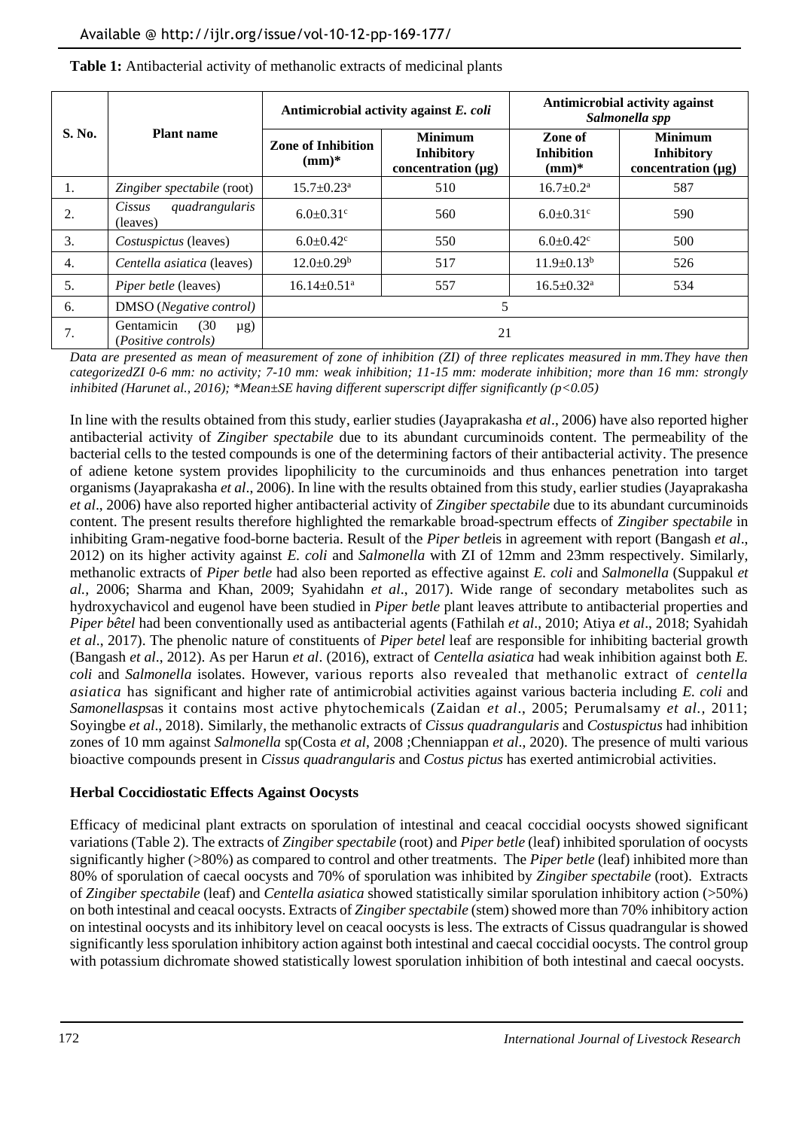|                  | <b>Plant name</b>                                              |                                      | Antimicrobial activity against E. coli                  | Antimicrobial activity against<br>Salmonella spp |                                                         |
|------------------|----------------------------------------------------------------|--------------------------------------|---------------------------------------------------------|--------------------------------------------------|---------------------------------------------------------|
| S. No.           |                                                                | <b>Zone of Inhibition</b><br>$(mm)*$ | <b>Minimum</b><br>Inhibitory<br>concentration $(\mu g)$ | Zone of<br><b>Inhibition</b><br>$(mm)*$          | <b>Minimum</b><br>Inhibitory<br>concentration $(\mu g)$ |
| 1.               | Zingiber spectabile (root)                                     | $15.7 \pm 0.23$ <sup>a</sup>         | 510                                                     | $16.7 \pm 0.2^{\text{a}}$                        | 587                                                     |
| 2.               | quadrangularis<br>Cissus<br>(leaves)                           | $6.0 \pm 0.31$ <sup>c</sup>          | 560                                                     | $6.0 \pm 0.31$ <sup>c</sup>                      | 590                                                     |
| 3.               | Costuspictus (leaves)                                          | $6.0 \pm 0.42$ <sup>c</sup>          | 550                                                     | $6.0 \pm 0.42$ <sup>c</sup>                      | 500                                                     |
| $\overline{4}$ . | Centella asiatica (leaves)                                     | $12.0 \pm 0.29^b$                    | 517                                                     | $11.9 \pm 0.13^b$                                | 526                                                     |
| 5.               | <i>Piper betle</i> (leaves)                                    | $16.14 \pm 0.51$ <sup>a</sup>        | 557                                                     | $16.5 \pm 0.32$ <sup>a</sup>                     | 534                                                     |
| 6.               | DMSO (Negative control)                                        | 5                                    |                                                         |                                                  |                                                         |
| 7.               | Gentamicin<br>(30)<br>$\mu$ g)<br>( <i>Positive controls</i> ) | 21                                   |                                                         |                                                  |                                                         |

**Table 1:** Antibacterial activity of methanolic extracts of medicinal plants

*Data are presented as mean of measurement of zone of inhibition (ZI) of three replicates measured in mm.They have then categorizedZI 0-6 mm: no activity; 7-10 mm: weak inhibition; 11-15 mm: moderate inhibition; more than 16 mm: strongly inhibited (Harunet al., 2016); \*Mean±SE having different superscript differ significantly (p<0.05)*

In line with the results obtained from this study, earlier studies (Jayaprakasha *et al*., 2006) have also reported higher antibacterial activity of *Zingiber spectabile* due to its abundant curcuminoids content. The permeability of the bacterial cells to the tested compounds is one of the determining factors of their antibacterial activity. The presence of adiene ketone system provides lipophilicity to the curcuminoids and thus enhances penetration into target organisms (Jayaprakasha *et al*., 2006). In line with the results obtained from this study, earlier studies (Jayaprakasha *et al*., 2006) have also reported higher antibacterial activity of *Zingiber spectabile* due to its abundant curcuminoids content. The present results therefore highlighted the remarkable broad-spectrum effects of *Zingiber spectabile* in inhibiting Gram-negative food-borne bacteria. Result of the *Piper betle*is in agreement with report (Bangash *et al*., 2012) on its higher activity against *E. coli* and *Salmonella* with ZI of 12mm and 23mm respectively. Similarly, methanolic extracts of *Piper betle* had also been reported as effective against *E. coli* and *Salmonella* (Suppakul *et al.,* 2006; Sharma and Khan, 2009; Syahidahn *et al*., 2017). Wide range of secondary metabolites such as hydroxychavicol and eugenol have been studied in *Piper betle* plant leaves attribute to antibacterial properties and *Piper bêtel* had been conventionally used as antibacterial agents (Fathilah *et al*., 2010; Atiya *et al*., 2018; Syahidah *et al*., 2017). The phenolic nature of constituents of *Piper betel* leaf are responsible for inhibiting bacterial growth (Bangash *et al*., 2012). As per Harun *et al*. (2016), extract of *Centella asiatica* had weak inhibition against both *E. coli* and *Salmonella* isolates. However, various reports also revealed that methanolic extract of *centella asiatica* has significant and higher rate of antimicrobial activities against various bacteria including *E. coli* and *Samonellasps*as it contains most active phytochemicals (Zaidan *et al*., 2005; Perumalsamy *et al.,* 2011; Soyingbe *et al*., 2018). Similarly, the methanolic extracts of *Cissus quadrangularis* and *Costuspictus* had inhibition zones of 10 mm against *Salmonella* sp(Costa *et al*, 2008 ;Chenniappan *et al*., 2020). The presence of multi various bioactive compounds present in *Cissus quadrangularis* and *Costus pictus* has exerted antimicrobial activities.

#### **Herbal Coccidiostatic Effects Against Oocysts**

Efficacy of medicinal plant extracts on sporulation of intestinal and ceacal coccidial oocysts showed significant variations (Table 2). The extracts of *Zingiber spectabile* (root) and *Piper betle* (leaf) inhibited sporulation of oocysts significantly higher (>80%) as compared to control and other treatments. The *Piper betle* (leaf) inhibited more than 80% of sporulation of caecal oocysts and 70% of sporulation was inhibited by *Zingiber spectabile* (root). Extracts of *Zingiber spectabile* (leaf) and *Centella asiatica* showed statistically similar sporulation inhibitory action (>50%) on both intestinal and ceacal oocysts. Extracts of *Zingiber spectabile* (stem) showed more than 70% inhibitory action on intestinal oocysts and its inhibitory level on ceacal oocysts is less. The extracts of Cissus quadrangular is showed significantly less sporulation inhibitory action against both intestinal and caecal coccidial oocysts. The control group with potassium dichromate showed statistically lowest sporulation inhibition of both intestinal and caecal oocysts.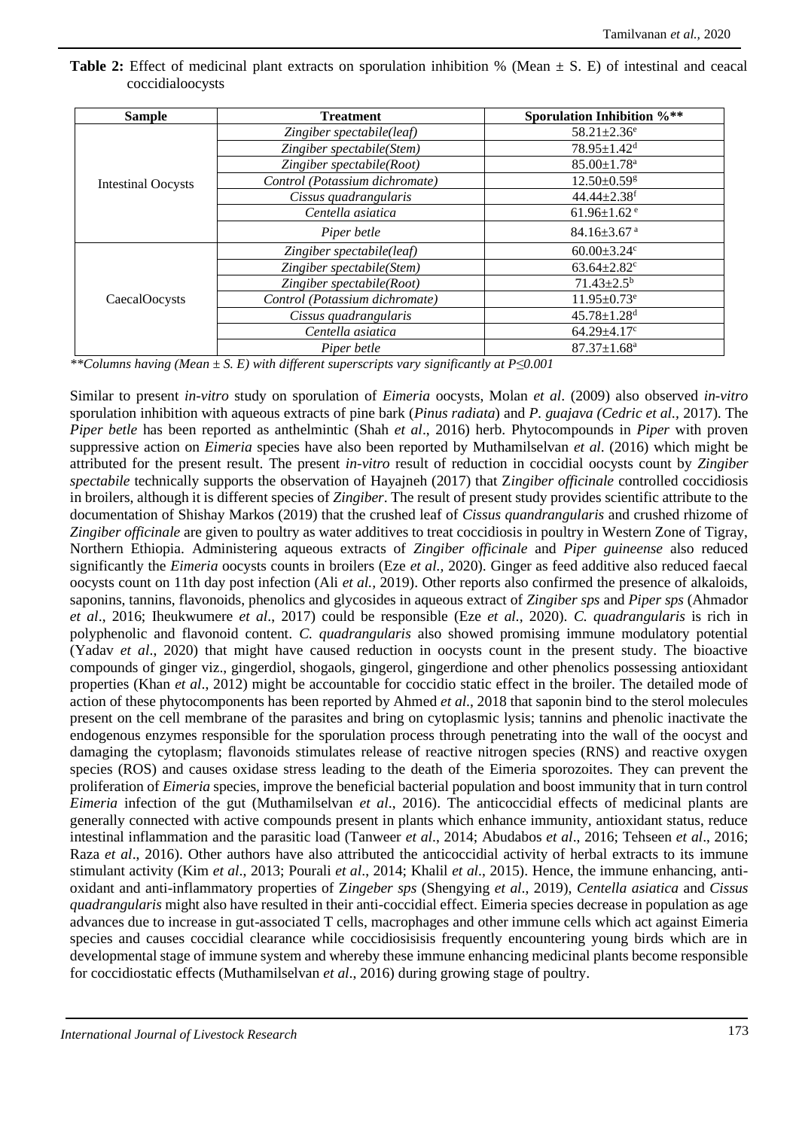| <b>Sample</b>             | <b>Treatment</b>               | <b>Sporulation Inhibition %**</b> |
|---------------------------|--------------------------------|-----------------------------------|
|                           | Zingiber spectabile(leaf)      | $58.21 \pm 2.36$ <sup>e</sup>     |
|                           | Zingiber spectabile(Stem)      | $78.95 \pm 1.42$ <sup>d</sup>     |
|                           | Zingiber spectabile(Root)      | $85.00 \pm 1.78$ <sup>a</sup>     |
| <b>Intestinal Oocysts</b> | Control (Potassium dichromate) | $12.50 \pm 0.59$ <sup>g</sup>     |
|                           | Cissus quadrangularis          | 44.44 $\pm$ 2.38 <sup>f</sup>     |
|                           | Centella asiatica              | $61.96 \pm 1.62$ <sup>e</sup>     |
|                           | Piper betle                    | $84.16 \pm 3.67$ <sup>a</sup>     |
|                           | Zingiber spectabile(leaf)      | $60.00 \pm 3.24$ °                |
|                           | Zingiber spectabile(Stem)      | $63.64 \pm 2.82$ <sup>c</sup>     |
|                           | Zingiber spectabile(Root)      | $71.43 \pm 2.5^{\rm b}$           |
| CaecalOocysts             | Control (Potassium dichromate) | $11.95 \pm 0.73$ <sup>e</sup>     |
|                           | Cissus quadrangularis          | $45.78 \pm 1.28$ <sup>d</sup>     |
|                           | Centella asiatica              | $64.29 + 4.17$ °                  |
|                           | Piper betle                    | $87.37 \pm 1.68$ <sup>a</sup>     |

**Table 2:** Effect of medicinal plant extracts on sporulation inhibition % (Mean  $\pm$  S. E) of intestinal and ceacal coccidialoocysts

*\*\*Columns having (Mean ± S. E) with different superscripts vary significantly at P≤0.001*

Similar to present *in-vitro* study on sporulation of *Eimeria* oocysts, Molan *et al*. (2009) also observed *in-vitro*  sporulation inhibition with aqueous extracts of pine bark (*Pinus radiata*) and *P. guajava (Cedric et al.,* 2017). The *Piper betle* has been reported as anthelmintic (Shah *et al*., 2016) herb. Phytocompounds in *Piper* with proven suppressive action on *Eimeria* species have also been reported by Muthamilselvan *et al*. (2016) which might be attributed for the present result. The present *in-vitro* result of reduction in coccidial oocysts count by *Zingiber spectabile* technically supports the observation of Hayajneh (2017) that Z*ingiber officinale* controlled coccidiosis in broilers, although it is different species of *Zingiber*. The result of present study provides scientific attribute to the documentation of Shishay Markos (2019) that the crushed leaf of *Cissus quandrangularis* and crushed rhizome of *Zingiber officinale* are given to poultry as water additives to treat coccidiosis in poultry in Western Zone of Tigray, Northern Ethiopia. Administering aqueous extracts of *Zingiber officinale* and *Piper guineense* also reduced significantly the *Eimeria* oocysts counts in broilers (Eze *et al.,* 2020). Ginger as feed additive also reduced faecal oocysts count on 11th day post infection (Ali *et al.,* 2019). Other reports also confirmed the presence of alkaloids, saponins, tannins, flavonoids, phenolics and glycosides in aqueous extract of *Zingiber sps* and *Piper sps* (Ahmador *et al*., 2016; Iheukwumere *et al*., 2017) could be responsible (Eze *et al.,* 2020). *C. quadrangularis* is rich in polyphenolic and flavonoid content. *C. quadrangularis* also showed promising immune modulatory potential (Yadav *et al*., 2020) that might have caused reduction in oocysts count in the present study. The bioactive compounds of ginger viz., gingerdiol, shogaols, gingerol, gingerdione and other phenolics possessing antioxidant properties (Khan *et al*., 2012) might be accountable for coccidio static effect in the broiler. The detailed mode of action of these phytocomponents has been reported by Ahmed *et al*., 2018 that saponin bind to the sterol molecules present on the cell membrane of the parasites and bring on cytoplasmic lysis; tannins and phenolic inactivate the endogenous enzymes responsible for the sporulation process through penetrating into the wall of the oocyst and damaging the cytoplasm; flavonoids stimulates release of reactive nitrogen species (RNS) and reactive oxygen species (ROS) and causes oxidase stress leading to the death of the Eimeria sporozoites. They can prevent the proliferation of *Eimeria* species, improve the beneficial bacterial population and boost immunity that in turn control *Eimeria* infection of the gut (Muthamilselvan *et al*., 2016). The anticoccidial effects of medicinal plants are generally connected with active compounds present in plants which enhance immunity, antioxidant status, reduce intestinal inflammation and the parasitic load (Tanweer *et al*., 2014; Abudabos *et al*., 2016; Tehseen *et al*., 2016; Raza *et al*., 2016). Other authors have also attributed the anticoccidial activity of herbal extracts to its immune stimulant activity (Kim *et al*., 2013; Pourali *et al*., 2014; Khalil *et al*., 2015). Hence, the immune enhancing, antioxidant and anti-inflammatory properties of Z*ingeber sps* (Shengying *et al*., 2019), *Centella asiatica* and *Cissus quadrangularis* might also have resulted in their anti-coccidial effect. Eimeria species decrease in population as age advances due to increase in gut-associated T cells, macrophages and other immune cells which act against Eimeria species and causes coccidial clearance while coccidiosisisis frequently encountering young birds which are in developmental stage of immune system and whereby these immune enhancing medicinal plants become responsible for coccidiostatic effects (Muthamilselvan *et al*., 2016) during growing stage of poultry.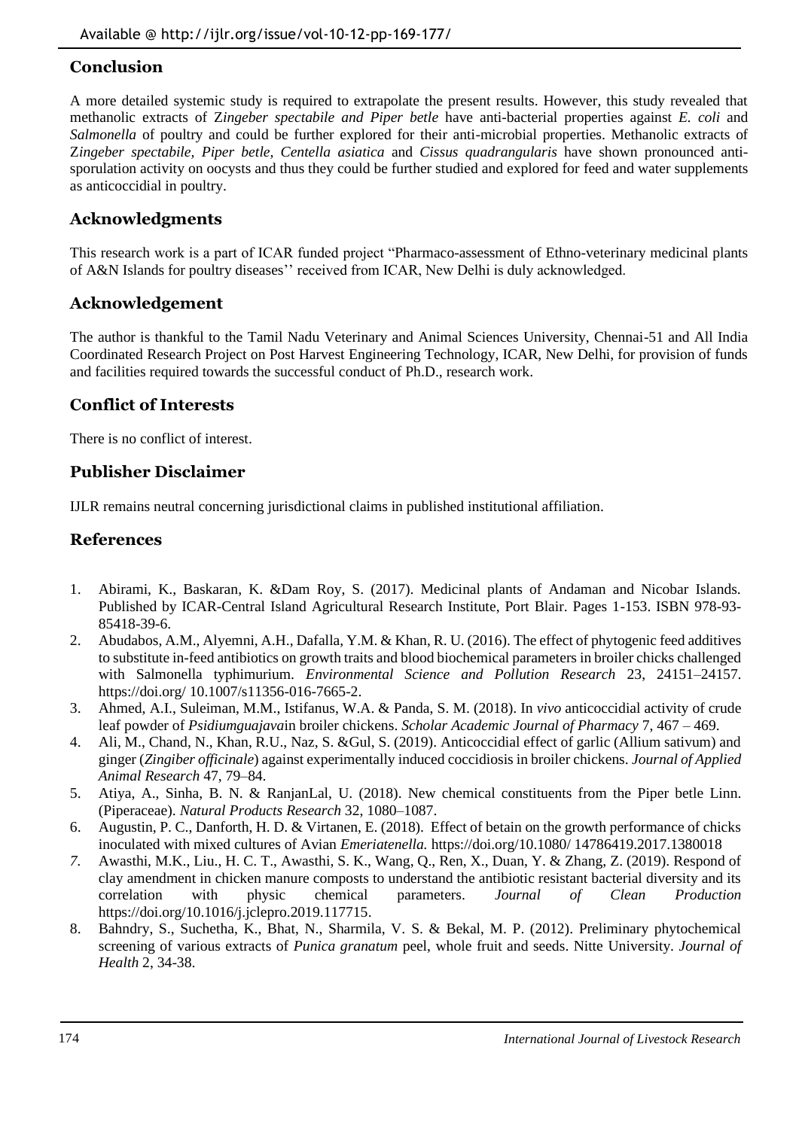### **Conclusion**

A more detailed systemic study is required to extrapolate the present results. However, this study revealed that methanolic extracts of Z*ingeber spectabile and Piper betle* have anti-bacterial properties against *E. coli* and *Salmonella* of poultry and could be further explored for their anti-microbial properties. Methanolic extracts of Z*ingeber spectabile, Piper betle, Centella asiatica* and *Cissus quadrangularis* have shown pronounced antisporulation activity on oocysts and thus they could be further studied and explored for feed and water supplements as anticoccidial in poultry.

#### **Acknowledgments**

This research work is a part of ICAR funded project "Pharmaco-assessment of Ethno-veterinary medicinal plants of A&N Islands for poultry diseases'' received from ICAR, New Delhi is duly acknowledged.

#### **Acknowledgement**

The author is thankful to the Tamil Nadu Veterinary and Animal Sciences University, Chennai-51 and All India Coordinated Research Project on Post Harvest Engineering Technology, ICAR, New Delhi, for provision of funds and facilities required towards the successful conduct of Ph.D., research work.

#### **Conflict of Interests**

There is no conflict of interest.

## **Publisher Disclaimer**

IJLR remains neutral concerning jurisdictional claims in published institutional affiliation.

#### **References**

- 1. Abirami, K., Baskaran, K. &Dam Roy, S. (2017). Medicinal plants of Andaman and Nicobar Islands. Published by ICAR-Central Island Agricultural Research Institute, Port Blair. Pages 1-153. ISBN 978-93- 85418-39-6.
- 2. Abudabos, A.M., Alyemni, A.H., Dafalla, Y.M. & Khan, R. U. (2016). The effect of phytogenic feed additives to substitute in-feed antibiotics on growth traits and blood biochemical parameters in broiler chicks challenged with Salmonella typhimurium. *Environmental Science and Pollution Research* 23, 24151–24157. <https://doi.org/> 10.1007/s11356-016-7665-2.
- 3. Ahmed, A.I., Suleiman, M.M., Istifanus, W.A. & Panda, S. M. (2018). In *vivo* anticoccidial activity of crude leaf powder of *Psidiumguajava*in broiler chickens. *Scholar Academic Journal of Pharmacy* 7, 467 – 469.
- 4. Ali, M., Chand, N., Khan, R.U., Naz, S. &Gul, S. (2019). Anticoccidial effect of garlic (Allium sativum) and ginger (*Zingiber officinale*) against experimentally induced coccidiosis in broiler chickens. *Journal of Applied Animal Research* 47, 79–84.
- 5. Atiya, A., Sinha, B. N. & RanjanLal, U. (2018). New chemical constituents from the Piper betle Linn. (Piperaceae). *Natural Products Research* 32, 1080–1087.
- 6. Augustin, P. C., Danforth, H. D. & Virtanen, E. (2018). Effect of betain on the growth performance of chicks inoculated with mixed cultures of Avian *Emeriatenella.* <https://doi.org/10.1080/> 14786419.2017.1380018
- *7.* Awasthi, M.K., Liu., H. C. T., Awasthi, S. K., Wang, Q., Ren, X., Duan, Y. & Zhang, Z. (2019). Respond of clay amendment in chicken manure composts to understand the antibiotic resistant bacterial diversity and its correlation with physic chemical parameters. *Journal of Clean Production* https://doi.org/10.1016/j.jclepro.2019.117715.
- 8. Bahndry, S., Suchetha, K., Bhat, N., Sharmila, V. S. & Bekal, M. P. (2012). Preliminary phytochemical screening of various extracts of *Punica granatum* peel, whole fruit and seeds. Nitte University. *Journal of Health* 2, 34-38.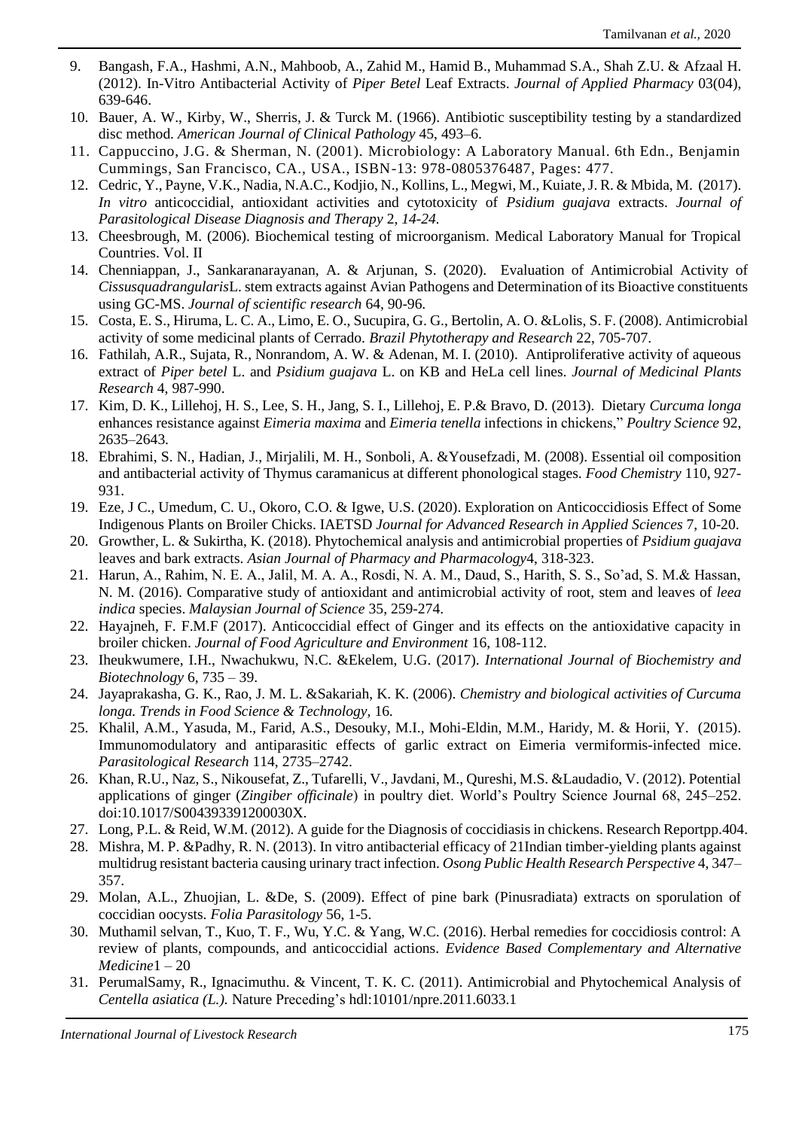- 9. Bangash, F.A., Hashmi, A.N., Mahboob, A., Zahid M., Hamid B., Muhammad S.A., Shah Z.U. & Afzaal H. (2012). In-Vitro Antibacterial Activity of *Piper Betel* Leaf Extracts. *Journal of Applied Pharmacy* 03(04), 639-646.
- 10. Bauer, A. W., Kirby, W., Sherris, J. & Turck M. (1966). Antibiotic susceptibility testing by a standardized disc method. *American Journal of Clinical Pathology* 45, 493–6.
- 11. Cappuccino, J.G. & Sherman, N. (2001). Microbiology: A Laboratory Manual. 6th Edn., Benjamin Cummings, San Francisco, CA., USA., ISBN-13: 978-0805376487, Pages: 477.
- 12. Cedric, Y., Payne, V.K., Nadia, N.A.C., Kodjio, N., Kollins, L., Megwi, M., Kuiate, J. R. & Mbida, M. (2017). *In vitro* anticoccidial, antioxidant activities and cytotoxicity of *Psidium guajava* extracts. *Journal of Parasitological Disease Diagnosis and Therapy* 2*, 14-24.*
- 13. Cheesbrough, M. (2006). Biochemical testing of microorganism. Medical Laboratory Manual for Tropical Countries. Vol. II
- 14. Chenniappan, J., Sankaranarayanan, A. & Arjunan, S. (2020). Evaluation of Antimicrobial Activity of *Cissusquadrangularis*L. stem extracts against Avian Pathogens and Determination of its Bioactive constituents using GC-MS. *Journal of scientific research* 64, 90-96.
- 15. Costa, E. S., Hiruma, L. C. A., Limo, E. O., Sucupira, G. G., Bertolin, A. O. &Lolis, S. F. (2008). Antimicrobial activity of some medicinal plants of Cerrado. *Brazil Phytotherapy and Research* 22, 705-707.
- 16. Fathilah, A.R., Sujata, R., Nonrandom, A. W. & Adenan, M. I. (2010). Antiproliferative activity of aqueous extract of *Piper betel* L. and *Psidium guajava* L. on KB and HeLa cell lines. *Journal of Medicinal Plants Research* 4, 987-990.
- 17. Kim, D. K., Lillehoj, H. S., Lee, S. H., Jang, S. I., Lillehoj, E. P.& Bravo, D. (2013). Dietary *Curcuma longa*  enhances resistance against *Eimeria maxima* and *Eimeria tenella* infections in chickens," *Poultry Science* 92, 2635–2643.
- 18. Ebrahimi, S. N., Hadian, J., Mirjalili, M. H., Sonboli, A. &Yousefzadi, M. (2008). Essential oil composition and antibacterial activity of Thymus caramanicus at different phonological stages*. Food Chemistry* 110, 927- 931.
- 19. Eze, J C., Umedum, C. U., Okoro, C.O. & Igwe, U.S. (2020). Exploration on Anticoccidiosis Effect of Some Indigenous Plants on Broiler Chicks. IAETSD *Journal for Advanced Research in Applied Sciences* 7, 10-20.
- 20. Growther, L. & Sukirtha, K. (2018). Phytochemical analysis and antimicrobial properties of *Psidium guajava* leaves and bark extracts. *Asian Journal of Pharmacy and Pharmacology*4, 318-323.
- 21. Harun, A., Rahim, N. E. A., Jalil, M. A. A., Rosdi, N. A. M., Daud, S., Harith, S. S., So'ad, S. M.& Hassan, N. M. (2016). Comparative study of antioxidant and antimicrobial activity of root, stem and leaves of *leea indica* species. *Malaysian Journal of Science* 35, 259-274.
- 22. Hayajneh, F. F.M.F (2017). Anticoccidial effect of Ginger and its effects on the antioxidative capacity in broiler chicken. *Journal of Food Agriculture and Environment* 16, 108-112.
- 23. Iheukwumere, I.H., Nwachukwu, N.C. &Ekelem, U.G. (2017). *International Journal of Biochemistry and Biotechnology* 6, 735 – 39.
- 24. Jayaprakasha, G. K., Rao, J. M. L. &Sakariah, K. K. (2006). *Chemistry and biological activities of Curcuma longa. Trends in Food Science & Technology,* 16.
- 25. Khalil, A.M., Yasuda, M., Farid, A.S., Desouky, M.I., Mohi-Eldin, M.M., Haridy, M. & Horii, Y. (2015). Immunomodulatory and antiparasitic effects of garlic extract on Eimeria vermiformis-infected mice. *Parasitological Research* 114, 2735–2742.
- 26. Khan, R.U., Naz, S., Nikousefat, Z., Tufarelli, V., Javdani, M., Qureshi, M.S. &Laudadio, V. (2012). Potential applications of ginger (*Zingiber officinale*) in poultry diet. World's Poultry Science Journal 68, 245–252. doi:10.1017/S004393391200030X.
- 27. Long, P.L. & Reid, W.M. (2012). A guide for the Diagnosis of coccidiasis in chickens. Research Reportpp.404.
- 28. Mishra, M. P. &Padhy, R. N. (2013). In vitro antibacterial efficacy of 21Indian timber-yielding plants against multidrug resistant bacteria causing urinary tract infection. *Osong Public Health Research Perspective* 4, 347– 357.
- 29. Molan, A.L., Zhuojian, L. &De, S. (2009). Effect of pine bark (Pinusradiata) extracts on sporulation of coccidian oocysts. *Folia Parasitology* 56, 1-5.
- 30. Muthamil selvan, T., Kuo, T. F., Wu, Y.C. & Yang, W.C. (2016). Herbal remedies for coccidiosis control: A review of plants, compounds, and anticoccidial actions. *Evidence Based Complementary and Alternative Medicine*1 – 20
- 31. PerumalSamy, R., Ignacimuthu. & Vincent, T. K. C. (2011). Antimicrobial and Phytochemical Analysis of *Centella asiatica (L.).* Nature Preceding's hdl:10101/npre.2011.6033.1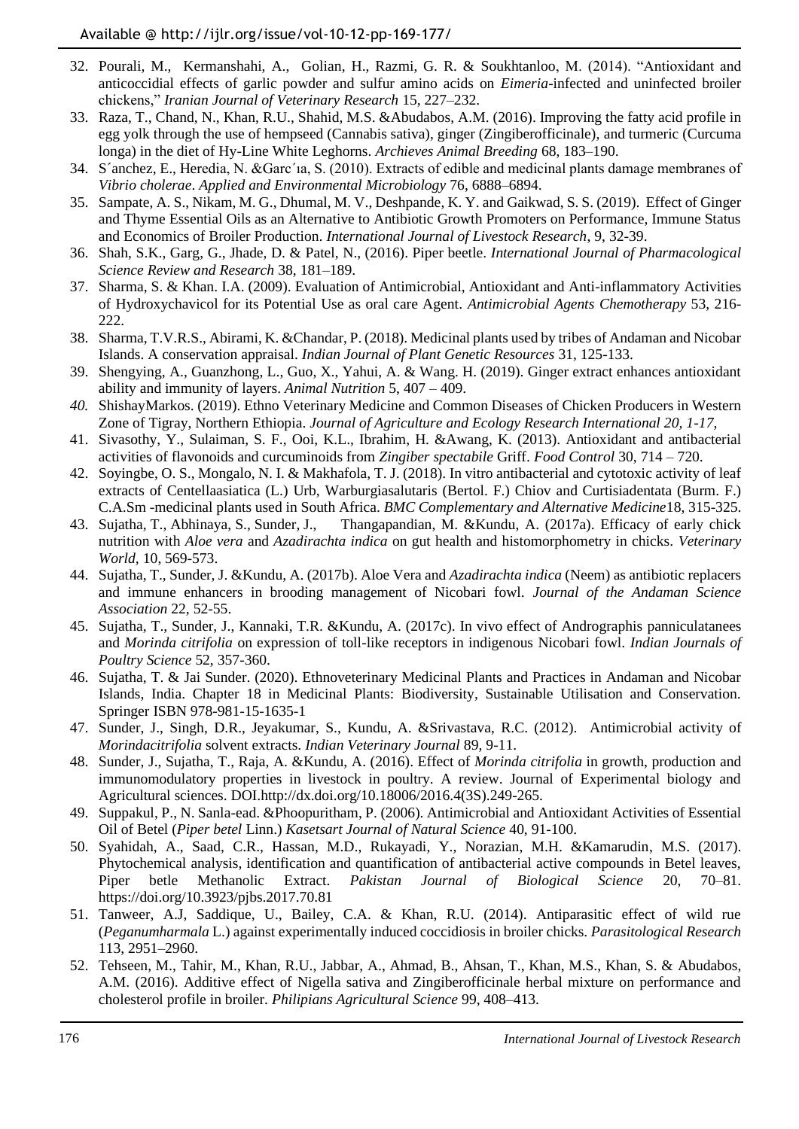- 32. Pourali, M., Kermanshahi, A., Golian, H., Razmi, G. R. & Soukhtanloo, M. (2014). "Antioxidant and anticoccidial effects of garlic powder and sulfur amino acids on *Eimeria*-infected and uninfected broiler chickens," *Iranian Journal of Veterinary Research* 15, 227–232.
- 33. Raza, T., Chand, N., Khan, R.U., Shahid, M.S. &Abudabos, A.M. (2016). Improving the fatty acid profile in egg yolk through the use of hempseed (Cannabis sativa), ginger (Zingiberofficinale), and turmeric (Curcuma longa) in the diet of Hy-Line White Leghorns. *Archieves Animal Breeding* 68, 183–190.
- 34. S´anchez, E., Heredia, N. &Garc´ıa, S. (2010). Extracts of edible and medicinal plants damage membranes of *Vibrio cholerae*. *Applied and Environmental Microbiology* 76, 6888–6894.
- 35. Sampate, A. S., Nikam, M. G., Dhumal, M. V., Deshpande, K. Y. and Gaikwad, S. S. (2019). Effect of Ginger and Thyme Essential Oils as an Alternative to Antibiotic Growth Promoters on Performance, Immune Status and Economics of Broiler Production. *International Journal of Livestock Research*, 9, 32-39.
- 36. Shah, S.K., Garg, G., Jhade, D. & Patel, N., (2016). Piper beetle. *International Journal of Pharmacological Science Review and Research* 38, 181–189.
- 37. Sharma, S. & Khan. I.A. (2009). Evaluation of Antimicrobial, Antioxidant and Anti-inflammatory Activities of Hydroxychavicol for its Potential Use as oral care Agent. *Antimicrobial Agents Chemotherapy* 53, 216- 222.
- 38. Sharma, T.V.R.S., Abirami, K. &Chandar, P. (2018). Medicinal plants used by tribes of Andaman and Nicobar Islands. A conservation appraisal. *Indian Journal of Plant Genetic Resources* 31, 125-133.
- 39. Shengying, A., Guanzhong, L., Guo, X., Yahui, A. & Wang. H. (2019). Ginger extract enhances antioxidant ability and immunity of layers. *Animal Nutrition* 5, 407 – 409.
- *40.* ShishayMarkos. (2019). Ethno Veterinary Medicine and Common Diseases of Chicken Producers in Western Zone of Tigray, Northern Ethiopia. *Journal of Agriculture and Ecology Research International 20, 1-17,*
- 41. Sivasothy, Y., Sulaiman, S. F., Ooi, K.L., Ibrahim, H. &Awang, K. (2013). Antioxidant and antibacterial activities of flavonoids and curcuminoids from *Zingiber spectabile* Griff. *Food Control* 30, 714 – 720.
- 42. Soyingbe, O. S., Mongalo, N. I. & Makhafola, T. J. (2018). In vitro antibacterial and cytotoxic activity of leaf extracts of Centellaasiatica (L.) Urb, Warburgiasalutaris (Bertol. F.) Chiov and Curtisiadentata (Burm. F.) C.A.Sm -medicinal plants used in South Africa. *BMC Complementary and Alternative Medicine*18, 315-325.
- 43. Sujatha, T., Abhinaya, S., Sunder, J., Thangapandian, M. &Kundu, A. (2017a). Efficacy of early chick nutrition with *Aloe vera* and *Azadirachta indica* on gut health and histomorphometry in chicks. *Veterinary World,* 10, 569-573.
- 44. Sujatha, T., Sunder, J. &Kundu, A. (2017b). Aloe Vera and *Azadirachta indica* (Neem) as antibiotic replacers and immune enhancers in brooding management of Nicobari fowl. *Journal of the Andaman Science Association* 22, 52-55.
- 45. Sujatha, T., Sunder, J., Kannaki, T.R. &Kundu, A. (2017c). In vivo effect of Andrographis panniculatanees and *Morinda citrifolia* on expression of toll-like receptors in indigenous Nicobari fowl. *Indian Journals of Poultry Science* 52, 357-360.
- 46. Sujatha, T. & Jai Sunder. (2020). Ethnoveterinary Medicinal Plants and Practices in Andaman and Nicobar Islands, India. Chapter 18 in Medicinal Plants: Biodiversity, Sustainable Utilisation and Conservation. Springer ISBN 978-981-15-1635-1
- 47. Sunder, J., Singh, D.R., Jeyakumar, S., Kundu, A. &Srivastava, R.C. (2012). Antimicrobial activity of *Morindacitrifolia* solvent extracts. *Indian Veterinary Journal* 89, 9-11.
- 48. Sunder, J., Sujatha, T., Raja, A. &Kundu, A. (2016). Effect of *Morinda citrifolia* in growth, production and immunomodulatory properties in livestock in poultry. A review. Journal of Experimental biology and Agricultural sciences. DOI.http://dx.doi.org/10.18006/2016.4(3S).249-265.
- 49. Suppakul, P., N. Sanla-ead. &Phoopuritham, P. (2006). Antimicrobial and Antioxidant Activities of Essential Oil of Betel (*Piper betel* Linn.) *Kasetsart Journal of Natural Science* 40, 91-100.
- 50. Syahidah, A., Saad, C.R., Hassan, M.D., Rukayadi, Y., Norazian, M.H. &Kamarudin, M.S. (2017). Phytochemical analysis, identification and quantification of antibacterial active compounds in Betel leaves, Piper betle Methanolic Extract. *Pakistan Journal of Biological Science* 20, 70–81. <https://doi.org/10.3923/pjbs.2017.70.81>
- 51. Tanweer, A.J, Saddique, U., Bailey, C.A. & Khan, R.U. (2014). Antiparasitic effect of wild rue (*Peganumharmala* L.) against experimentally induced coccidiosis in broiler chicks. *Parasitological Research* 113, 2951–2960.
- 52. Tehseen, M., Tahir, M., Khan, R.U., Jabbar, A., Ahmad, B., Ahsan, T., Khan, M.S., Khan, S. & Abudabos, A.M. (2016). Additive effect of Nigella sativa and Zingiberofficinale herbal mixture on performance and cholesterol profile in broiler. *Philipians Agricultural Science* 99, 408–413.